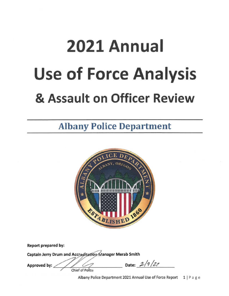# 2021 Annual **Use of Force Analysis** & Assault on Officer Review

# **Albany Police Department**



| Report prepared by:                                      |                |
|----------------------------------------------------------|----------------|
| Captain Jerry Drum and Accreditation Manager Merab Smith |                |
| Approved by:<br>Chief of Police                          | Date: $2/9/27$ |

Albany Police Department 2021 Annual Use of Force Report  $1 | P \nexists g e$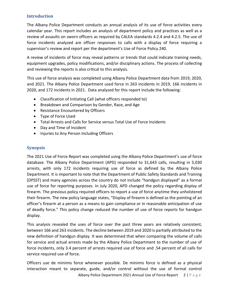# **Introduction**

The Albany Police Department conducts an annual analysis of its use of force activities every calendar year. This report includes an analysis of department policy and practices as well as a review of assaults on sworn officers as required by CALEA standards 4.2.4 and 4.2.5. The use of force incidents analyzed are officer responses to calls with a display of force requiring a supervisor's review and report per the department's Use of Force Policy 240.

A review of incidents of force may reveal patterns or trends that could indicate training needs, equipment upgrades, policy modifications, and/or disciplinary actions. The process of collecting and reviewing the reports is also critical to this analysis.

This use of force analysis was completed using Albany Police Department data from 2019, 2020, and 2021. The Albany Police Department used force in 263 incidents in 2019, 166 incidents in 2020, and 172 incidents in 2021. Data analyzed for this report include the following:

- Classification of Initiating Call (what officers responded to)
- Breakdown and Comparison by Gender, Race, and Age
- Resistance Encountered by Officers
- Type of Force Used
- Total Arrests and Calls for Service versus Total Use of Force Incidents
- Day and Time of Incident
- Injuries to Any Person Including Officers

# **Synopsis**

The 2021 Use of Force Report was completed using the Albany Police Department's use of force database. The Albany Police Department (APD) responded to 31,643 calls, resulting in 5,030 arrests, with only 172 incidents requiring use of force as defined by the Albany Police Department. It is important to note that the Department of Public Safety Standards and Training (DPSST) and many agencies across the country do not include "handgun displayed" as a formal use of force for reporting purposes. In July 2020, APD changed the policy regarding display of firearm. The previous policy required officers to report a use of force anytime they unholstered their firearm. The new policy language states, "Display of firearm is defined as the pointing of an officer's firearm at a person as a means to gain compliance or in reasonable anticipation of use of deadly force." This policy change reduced the number of use of force reports for handgun display.

This analysis revealed the uses of force over the past three years are relatively consistent, between 166 and 263 incidents. The decline between 2019 and 2020 is partially attributed to the new definition of handgun display. It was determined that when comparing the volume of calls for service and actual arrests made by the Albany Police Department to the number of use of force incidents, only 3.4 percent of arrests required use of force and .54 percent of all calls for service required use of force.

Officers use de minimis force whenever possible. De minimis force is defined as a physical interaction meant to separate, guide, and/or control without the use of formal control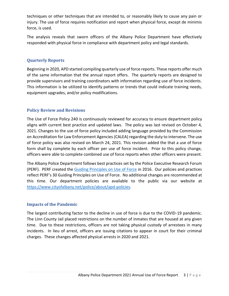techniques or other techniques that are intended to, or reasonably likely to cause any pain or injury. The use of force requires notification and report when physical force, except de minimis force, is used.

The analysis reveals that sworn officers of the Albany Police Department have effectively responded with physical force in compliance with department policy and legal standards.

# **Quarterly Reports**

Beginning in 2020, APD started compiling quarterly use of force reports. These reports offer much of the same information that the annual report offers. The quarterly reports are designed to provide supervisors and training coordinators with information regarding use of force incidents. This information is be utilized to identify patterns or trends that could indicate training needs, equipment upgrades, and/or policy modifications.

# **Policy Review and Revisions**

The Use of Force Policy 240 is continuously reviewed for accuracy to ensure department policy aligns with current best practice and updated laws. The policy was last revised on October 4, 2021. Changes to the use of force policy included adding language provided by the Commission on Accreditation for Law Enforcement Agencies (CALEA) regarding the duty to intervene. The use of force policy was also revised on March 24, 2021. This revision added the that a use of force form shall by complete by each officer per use of force incident. Prior to this policy change, officers were able to complete combined use of force reports when other officers were present.

The Albany Police Department follows best practices set by the Police Executive Research Forum (PERF). PERF created the [Guiding Principles on Use of Force](https://www.policeforum.org/assets/30%20guiding%20principles.pdf) in 2016. Our policies and practices reflect PERF's 30 Guiding Principles on Use of Force. No additional changes are recommended at this time. Our department policies are available to the public via our website at [https://www.cityofalbany.net/police/about/apd-policies.](https://www.cityofalbany.net/police/about/apd-policies)

#### **Impacts of the Pandemic**

The largest contributing factor to the decline in use of force is due to the COVID-19 pandemic. The Linn County Jail placed restrictions on the number of inmates that are housed at any given time. Due to these restrictions, officers are not taking physical custody of arrestees in many incidents. In lieu of arrest, officers are issuing citations to appear in court for their criminal charges. These changes affected physical arrests in 2020 and 2021.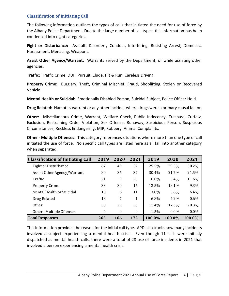# **Classification of Initiating Call**

The following information outlines the types of calls that initiated the need for use of force by the Albany Police Department. Due to the large number of call types, this information has been condensed into eight categories.

**Fight or Disturbance:** Assault, Disorderly Conduct, Interfering, Resisting Arrest, Domestic, Harassment, Menacing, Weapons.

**Assist Other Agency/Warrant:** Warrants served by the Department, or while assisting other agencies.

**Traffic:** Traffic Crime, DUII, Pursuit, Elude, Hit & Run, Careless Driving.

**Property Crime:** Burglary, Theft, Criminal Mischief, Fraud, Shoplifting, Stolen or Recovered Vehicle.

**Mental Health or Suicidal:** Emotionally Disabled Person, Suicidal Subject, Police Officer Hold.

**Drug Related:** Narcotics warrant or any other incident where drugs were a primary causal factor.

**Other:** Miscellaneous Crime, Warrant, Welfare Check, Public Indecency, Trespass, Curfew, Exclusion, Restraining Order Violation, Sex Offense, Runaway, Suspicious Person, Suspicious Circumstances, Reckless Endangering, MIP, Robbery, Animal Complaints.

**Other - Multiple Offenses:** This category references situations where more than one type of call initiated the use of force. No specific call types are listed here as all fall into another category when separated.

| <b>Classification of Initiating Call</b> | 2019 | 2020             | 2021     | 2019   | 2020    | 2021    |
|------------------------------------------|------|------------------|----------|--------|---------|---------|
| <b>Fight or Disturbance</b>              | 67   | 49               | 52       | 25.5%  | 29.5%   | 30.2%   |
| Assist Other Agency/Warrant              | 80   | 36               | 37       | 30.4%  | 21.7%   | 21.5%   |
| Traffic                                  | 21   | 9                | 20       | 8.0%   | 5.4%    | 11.6%   |
| <b>Property Crime</b>                    | 33   | 30               | 16       | 12.5%  | 18.1%   | 9.3%    |
| Mental Health or Suicidal                | 10   | 6                | 11       | 3.8%   | 3.6%    | 6.4%    |
| Drug Related                             | 18   | 7                | 1        | 6.8%   | 4.2%    | 0.6%    |
| <b>Other</b>                             | 30   | 29               | 35       | 11.4%  | 17.5%   | 20.3%   |
| Other - Multiple Offenses                | 4    | $\boldsymbol{0}$ | $\theta$ | 1.5%   | $0.0\%$ | $0.0\%$ |
| <b>Total Responses</b>                   | 263  | 166              | 172      | 100.0% | 100.0%  | 100.0%  |

This information provides the reason for the initial call type. APD also tracks how many incidents involved a subject experiencing a mental health crisis. Even though 11 calls were initially dispatched as mental health calls, there were a total of 28 use of force incidents in 2021 that involved a person experiencing a mental health crisis.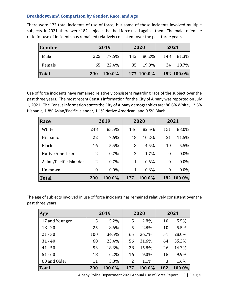# **Breakdown and Comparison by Gender, Race, and Age**

There were 172 total incidents of use of force, but some of those incidents involved multiple subjects. In 2021, there were 182 subjects that had force used against them. The male to female ratio for use of incidents has remained relatively consistent over the past three years.

| Gender |     | 2019   |     | 2020       |    | 2021       |
|--------|-----|--------|-----|------------|----|------------|
| Male   | 225 | 77.6%  | 142 | 80.2%      |    | 148 81.3%  |
| Female | 65  | 22.4%  |     | 35 19.8%   | 34 | 18.7%      |
| Total  | 290 | 100.0% |     | 177 100.0% |    | 182 100.0% |

Use of force incidents have remained relatively consistent regarding race of the subject over the past three years. The most recent Census information for the City of Albany was reported on July 1, 2021. The Census information states the City of Albany demographics are: 86.6% White, 12.6% Hispanic, 1.8% Asian/Pacific Islander, 1.1% Native American, and 0.5% Black.

| Race                   |     | 2019    |     | 2020    |                  | 2021       |
|------------------------|-----|---------|-----|---------|------------------|------------|
| White                  | 248 | 85.5%   | 146 | 82.5%   | 151              | 83.0%      |
| Hispanic               | 22  | 7.6%    | 18  | 10.2%   | 21               | 11.5%      |
| <b>Black</b>           | 16  | 5.5%    | 8   | 4.5%    | 10               | 5.5%       |
| Native American        | 2   | $0.7\%$ | 3   | 1.7%    | $\boldsymbol{0}$ | $0.0\%$    |
| Asian/Pacific Islander | 2   | $0.7\%$ | 1   | $0.6\%$ | $\overline{0}$   | $0.0\%$    |
| Unknown                | 0   | $0.0\%$ | 1   | $0.6\%$ | $\theta$         | $0.0\%$    |
| Total                  | 290 | 100.0%  | 177 | 100.0%  |                  | 182 100.0% |

The age of subjects involved in use of force incidents has remained relatively consistent over the past three years.

| Age            | 2019 |         | 2020 |        | 2021 |        |
|----------------|------|---------|------|--------|------|--------|
| 17 and Younger | 15   | 5.2%    | 5    | 2.8%   | 10   | 5.5%   |
| $18 - 20$      | 25   | 8.6%    | 5    | 2.8%   | 10   | 5.5%   |
| $21 - 30$      | 100  | 34.5%   | 65   | 36.7%  | 51   | 28.0%  |
| $31 - 40$      | 68   | 23.4%   | 56   | 31.6%  | 64   | 35.2%  |
| $41 - 50$      | 53   | 18.3%   | 28   | 15.8%  | 26   | 14.3%  |
| $51 - 60$      | 18   | $6.2\%$ | 16   | 9.0%   | 18   | 9.9%   |
| 60 and Older   | 11   | 3.8%    | 2    | 1.1%   | 3    | 1.6%   |
| Total          | 290  | 100.0%  | 177  | 100.0% | 182  | 100.0% |

Albany Police Department 2021 Annual Use of Force Report  $5 | P a g e$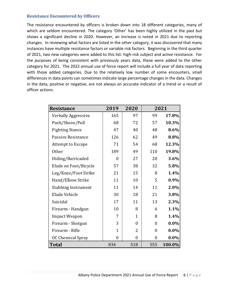#### **Resistance Encountered by Officers**

The resistance encountered by officers is broken down into 18 different categories, many of which are seldom encountered. The category 'Other' has been highly utilized in the past but shows a significant decline in 2020. However, an increase is noted in 2021 due to reporting changes. In reviewing what factors are listed in the other category, it was discovered that many instances have multiple resistance factors or variable risk factors. Beginning in the third quarter of 2021, two new categories were added to this list: high-risk subject and active resistance. For the purposes of being consistent with previously years data, these were added to the other category for 2021. The 2022 annual use of force report will include a full year of data reporting with those added categories. Due to the relatively low number of some encounters, small differences in data points can sometimes indicate large percentage changes in the data. Changes in the data, positive or negative, are not always an accurate indicator of a trend or a result of officer actions.

| <b>Resistance</b>          | 2019             | 2020             |                  | 2021    |
|----------------------------|------------------|------------------|------------------|---------|
| Verbally Aggressive        | 165              | 97               | 99               | 17.8%   |
| Push/Shove/Pull            | 68               | 72               | 57               | 10.3%   |
| <b>Fighting Stance</b>     | 47               | 40               | 48               | 8.6%    |
| Passive Resistance         | 126              | 62               | 49               | 8.8%    |
| Attempt to Escape          | 71               | 54               | 68               | 12.3%   |
| Other                      | 189              | 49               | 110              | 19.8%   |
| Hiding/Barricaded          | $\theta$         | 27               | 20               | 3.6%    |
| Elude on Foot/Bicycle      | 57               | 38               | 32               | 5.8%    |
| Leg/Knee/Foot Strike       | 21               | 15               | 8                | 1.4%    |
| Hand/Elbow Strike          | 11               | 10               | 5                | $0.9\%$ |
| <b>Stabbing Instrument</b> | 11               | 14               | 11               | 2.0%    |
| Elude Vehicle              | 30               | 18               | 21               | 3.8%    |
| Suicidal                   | 17               | 11               | 13               | 2.3%    |
| Firearm - Handgun          | 10               | 8                | 6                | 1.1%    |
| <b>Impact Weapon</b>       | 7                | $\mathbf{1}$     | 8                | 1.4%    |
| Firearm - Shotgun          | 3                | $\boldsymbol{0}$ | $\boldsymbol{0}$ | $0.0\%$ |
| Firearm - Rifle            | $\mathbf{1}$     | 2                | $\boldsymbol{0}$ | $0.0\%$ |
| OC Chemical Spray          | $\boldsymbol{0}$ | $\boldsymbol{0}$ | 0                | $0.0\%$ |
| <b>Total</b>               | 834              | 518              | 555              | 100.0%  |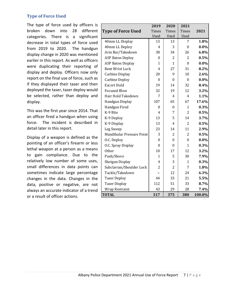# **Type of Force Used**

The type of force used by officers is broken down into 28 different categories. There is a significant decrease in total types of force used from 2019 to 2020. The handgun display change in 2020 was mentioned earlier in this report. As well as officers were duplicating their reporting of display and deploy. Officers now only report on the final use of force, such as if they displayed their taser and then deployed the taser, taser deploy would be selected, rather than deploy and display.

This was the first year since 2014. That an officer fired a handgun when using force. The incident is described in detail later in this report.

Display of a weapon is defined as the pointing of an officer's firearm or less lethal weapon at a person as a means to gain compliance. Due to the relatively low number of some uses, small differences in data points can sometimes indicate large percentage changes in the data. Changes in the data, positive or negative, are not always an accurate indicator of a trend or a result of officer actions.

|                           | 2019             | 2020             | 2021           |         |
|---------------------------|------------------|------------------|----------------|---------|
| <b>Type of Force Used</b> | <b>Times</b>     | <b>Times</b>     | Times          | 2021    |
|                           | <b>Used</b>      | Used             | Used           |         |
| 40mm LL Display           | 13               | 13               | 7              | 1.8%    |
| 40mm LL Deploy            | 4                | 3                | $\theta$       | $0.0\%$ |
| Arm Bar/Takedown          | 38               | 34               | 26             | 6.8%    |
| <b>ASP Baton Deploy</b>   | $\mathbf{0}$     | $\overline{2}$   | 2              | 0.5%    |
| <b>ASP Baton Display</b>  | 1                | $\mathbf{1}$     | $\theta$       | $0.0\%$ |
| <b>Bent Wrist Lock</b>    | 4                | 27               | 31             | 8.2%    |
| Carbine Display           | 20               | 9                | 10             | 2.6%    |
| <b>Carbine Deploy</b>     | $\boldsymbol{0}$ | $\mathbf{0}$     | $\theta$       | $0.0\%$ |
| <b>Escort Hold</b>        | 19               | 14               | 32             | 8.4%    |
| <b>Focused Blow</b>       | 32               | 19               | 12             | 3.2%    |
| Hair Hold Takedown        | 7                | 4                | 4              | 1.1%    |
| Handgun Display           | 107              | 65               | 67             | 17.6%   |
| Handgun Fired             | $\boldsymbol{0}$ | $\boldsymbol{0}$ | $\mathbf{1}$   | 0.3%    |
| K-9 Bite                  | 4                | 7                | $\overline{2}$ | 0.5%    |
| K-9 Deploy                | 13               | 5                | 14             | 3.7%    |
| K-9 Display               | 13               | 4                | $\overline{2}$ | 0.5%    |
| Leg Sweep                 | 23               | 14               | 11             | 2.9%    |
| Mandibular Pressure Point | 3                | $\overline{2}$   | $\overline{2}$ | 0.5%    |
| O.C. Deploy               | $\boldsymbol{0}$ | $\mathbf{0}$     | $\mathbf{0}$   | $0.0\%$ |
| O.C. Spray Display        | $\overline{0}$   | $\mathbf{0}$     | $\mathbf{1}$   | 0.3%    |
| <b>Other</b>              | 10               | 17               | 12             | 3.2%    |
| Push/Shove                | 1                | 5                | 30             | 7.9%    |
| Shotgun Display           | 4                | 3                | $\mathbf{1}$   | 0.3%    |
| Subclavian/Shoulder Lock  | $\overline{2}$   | $\overline{2}$   | 7              | 1.8%    |
| Tackle/Takedown           |                  | 12               | 24             | 6.3%    |
| <b>Taser Deploy</b>       | 44               | 33               | 21             | 5.5%    |
| <b>Taser Display</b>      | 112              | 51               | 33             | 8.7%    |
| <b>Wrap Restraint</b>     | 43               | 29               | 28             | 7.4%    |
| <b>TOTAL</b>              | 517              | 375              | 380            | 100.0%  |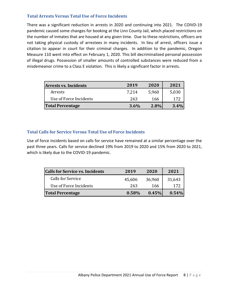# **Total Arrests Versus Total Use of Force Incidents**

There was a significant reduction in arrests in 2020 and continuing into 2021. The COIVD-19 pandemic caused some changes for booking at the Linn County Jail, which placed restrictions on the number of inmates that are housed at any given time. Due to these restrictions, officers are not taking physical custody of arrestees in many incidents. In lieu of arrest, officers issue a citation to appear in court for their criminal charges. In addition to the pandemic, Oregon Measure 110 went into effect on February 1, 2020. This bill decriminalized personal possession of illegal drugs. Possession of smaller amounts of controlled substances were reduced from a misdemeanor crime to a Class E violation. This is likely a significant factor in arrests.

| <b>Arrests vs. Incidents</b> | 2019    | 2020  | 2021    |
|------------------------------|---------|-------|---------|
| Arrests                      | 7.214   | 5,960 | 5,030   |
| Use of Force Incidents       | 263     | 166   | 172     |
| <b>Total Percentage</b>      | $3.6\%$ | 2.8%  | $3.4\%$ |

# **Total Calls for Service Versus Total Use of Force Incidents**

Use of force incidents based on calls for service have remained at a similar percentage over the past three years. Calls for service declined 19% from 2019 to 2020 and 15% from 2020 to 2021, which is likely due to the COVID-19 pandemic.

| <b>Calls for Service vs. Incidents</b> | 2019   | 2020   | 2021   |
|----------------------------------------|--------|--------|--------|
| Calls for Service                      | 45,606 | 36,960 | 31,643 |
| Use of Force Incidents                 | 263    | 166    | 172    |
| <b>Total Percentage</b>                | 0.58%  | 0.45%  | 0.54%  |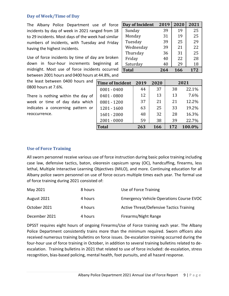#### **Day of Week/Time of Day**

The Albany Police Department use of force incidents by day of week in 2021 ranged from 18 to 29 incidents. Most days of the week had similar numbers of incidents, with Tuesday and Friday having the highest incidents.

Use of force incidents by time of day are broken down in four-hour increments beginning at midnight. Most use of force incidents occurred between 2001 hours and 0400 hours at 44.8%, and

the least between 0400 hours and 0800 hours at 7.6%.

There is nothing within the day of week or time of day data which indicates a concerning pattern or reoccurrence.

| Day of Incident | 2019 | 2020 | 2021 |
|-----------------|------|------|------|
| Sunday          | 39   | 19   | 25   |
| Monday          | 31   | 19   | 25   |
| Tuesday         | 39   | 25   | 29   |
| Wednesday       | 39   | 21   | 22   |
| Thursday        | 36   | 31   | 25   |
| Friday          | 40   | 22   | 28   |
| Saturday        | 40   | 29   | 18   |
| <b>Total</b>    | 264  | 166  | 172  |

| <b>Time of Incident</b> | 2019 | 2020 |     | 2021   |
|-------------------------|------|------|-----|--------|
| $0001 - 0400$           | 44   | 37   | 38  | 22.1%  |
| $0401 - 0800$           | 12   | 13   | 13  | 7.6%   |
| $0801 - 1200$           | 37   | 21   | 21  | 12.2%  |
| $1201 - 1600$           | 63   | 25   | 33  | 19.2%  |
| $1601 - 2000$           | 48   | 32   | 28  | 16.3%  |
| $2001 - 0000$           | 59   | 38   | 39  | 22.7%  |
| <b>Total</b>            | 263  | 166  | 172 | 100.0% |

#### **Use of Force Training**

All sworn personnel receive various use of force instruction during basic police training including case law, defensive tactics, baton, oleoresin capsicum spray (OC), handcuffing, firearms, less lethal, Multiple Interactive Learning Objectives (MILO), and more. Continuing education for all Albany police sworn personnel on use of force occurs multiple times each year. The formal use of force training during 2021 consisted of:

| May 2021      | 8 hours | Use of Force Training                           |
|---------------|---------|-------------------------------------------------|
| August 2021   | 4 hours | <b>Emergency Vehicle Operations Course EVOC</b> |
| October 2021  | 4 hours | <b>Active Threat/Defensive Tactics Training</b> |
| December 2021 | 4 hours | Firearms/Night Range                            |

DPSST requires eight hours of ongoing Firearms/Use of Force training each year. The Albany Police Department consistently trains more than the minimum required. Sworn officers also received numerous training bulletins on force issues. De-escalation training occurred during the four-hour use of force training in October, in addition to several training bulletins related to deescalation. Training bulletins in 2021 that related to use of force included: de-escalation, stress recognition, bias-based policing, mental health, foot pursuits, and all hazard response.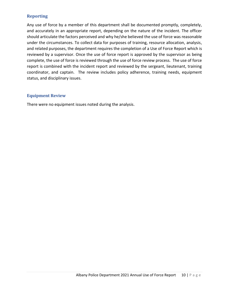# **Reporting**

Any use of force by a member of this department shall be documented promptly, completely, and accurately in an appropriate report, depending on the nature of the incident. The officer should articulate the factors perceived and why he/she believed the use of force was reasonable under the circumstances. To collect data for purposes of training, resource allocation, analysis, and related purposes, the department requires the completion of a Use of Force Report which is reviewed by a supervisor. Once the use of force report is approved by the supervisor as being complete, the use of force is reviewed through the use of force review process. The use of force report is combined with the incident report and reviewed by the sergeant, lieutenant, training coordinator, and captain. The review includes policy adherence, training needs, equipment status, and disciplinary issues.

#### **Equipment Review**

There were no equipment issues noted during the analysis.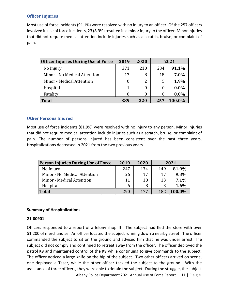# **Officer Injuries**

Most use of force incidents (91.1%) were resolved with no injury to an officer. Of the 257 officers involved in use of force incidents, 23 (8.9%) resulted in a minor injury to the officer. Minor injuries that did not require medical attention include injuries such as a scratch, bruise, or complaint of pain.

| <b>Officer Injuries During Use of Force</b> | 2019 | 2020 | 2021         |         |
|---------------------------------------------|------|------|--------------|---------|
| No Injury                                   | 371  | 210  | 234          | 91.1%   |
| Minor - No Medical Attention                | 17   | 8    | 18           | 7.0%    |
| Minor - Medical Attention                   | 0    |      | 5            | 1.9%    |
| Hospital                                    | 1    |      | $\theta$     | $0.0\%$ |
| Fatality                                    | 0    |      | $\mathbf{0}$ | $0.0\%$ |
| <b>Total</b>                                | 389  | 220  | 257          | 100.0%  |

# **Other Persons Injured**

Most use of force incidents (81.9%) were resolved with no injury to any person. Minor injuries that did not require medical attention include injuries such as a scratch, bruise, or complaint of pain. The number of persons injured has been consistent over the past three years. Hospitalizations decreased in 2021 from the two previous years.

| <b>Person Injuries During Use of Force</b> | 2019 | 2020 | 2021 |        |
|--------------------------------------------|------|------|------|--------|
| No Injury                                  | 247  | 134  | 149  | 81.9%  |
| Minor - No Medical Attention               | 26   | 17   | 17   | 9.3%   |
| Minor - Medical Attention                  | 11   | 18   | 13   | 7.1%   |
| Hospital                                   | 6    | 8    |      | 1.6%   |
| <b>Total</b>                               | 290  | 177  | 182  | 100.0% |

#### **Summary of Hospitalizations**

#### **21-00901**

Officers responded to a report of a felony shoplift. The subject had fled the store with over \$1,200 of merchandise. An officer located the subject running down a nearby street. The officer commanded the subject to sit on the ground and advised him that he was under arrest. The subject did not comply and continued to retreat away from the officer. The officer deployed the patrol K9 and maintained control of the K9 while continuing to give commands to the subject. The officer noticed a large knife on the hip of the subject. Two other officers arrived on scene, one deployed a Taser, while the other officer tackled the subject to the ground. With the assistance of three officers, they were able to detain the subject. During the struggle, the subject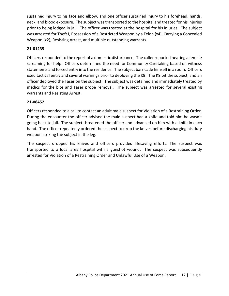sustained injury to his face and elbow, and one officer sustained injury to his forehead, hands, neck, and blood exposure. The subject was transported to the hospital and treated for his injuries prior to being lodged in jail. The officer was treated at the hospital for his injuries. The subject was arrested for Theft I, Possession of a Restricted Weapon by a Felon (x4), Carrying a Concealed Weapon (x2), Resisting Arrest, and multiple outstanding warrants.

# **21-01235**

Officers responded to the report of a domestic disturbance. The caller reported hearing a female screaming for help. Officers determined the need for Community Caretaking based on witness statements and forced entry into the residence. The subject barricade himself in a room. Officers used tactical entry and several warnings prior to deploying the K9. The K9 bit the subject, and an officer deployed the Taser on the subject. The subject was detained and immediately treated by medics for the bite and Taser probe removal. The subject was arrested for several existing warrants and Resisting Arrest.

# **21-08452**

Officers responded to a call to contact an adult male suspect for Violation of a Restraining Order. During the encounter the officer advised the male suspect had a knife and told him he wasn't going back to jail. The subject threatened the officer and advanced on him with a knife in each hand. The officer repeatedly ordered the suspect to drop the knives before discharging his duty weapon striking the subject in the leg.

The suspect dropped his knives and officers provided lifesaving efforts. The suspect was transported to a local area hospital with a gunshot wound. The suspect was subsequently arrested for Violation of a Restraining Order and Unlawful Use of a Weapon.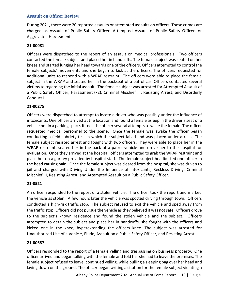# **Assault on Officer Review**

During 2021, there were 20 reported assaults or attempted assaults on officers. These crimes are charged as Assault of Public Safety Officer, Attempted Assault of Public Safety Officer, or Aggravated Harassment.

#### **21-00081**

Officers were dispatched to the report of an assault on medical professionals. Two officers contacted the female subject and placed her in handcuffs. The female subject was seated on her knees and started lunging her head towards one of the officers. Officers attempted to control the female subjects' movements and she began to kick at the officers. The officers requested for additional units to respond with a WRAP restraint. The officers were able to place the female subject in the WRAP and seated her in the backseat of a patrol car. Officers contacted several victims to regarding the initial assault. The female subject was arrested for Attempted Assault of a Public Safety Officer, Harassment (x2), Criminal Mischief III, Resisting Arrest, and Disorderly Conduct II.

#### **21-00275**

Officers were dispatched to attempt to locate a driver who was possibly under the influence of intoxicants. One officer arrived at the location and found a female asleep in the driver's seat of a vehicle not in a parking space. It took the officer several attempts to wake the female. The officer requested medical personnel to the scene. Once the female was awake the officer began conducting a field sobriety test in which the subject failed and was placed under arrest. The female subject resisted arrest and fought with two officers. They were able to place her in the WRAP restraint, seated her in the back of a patrol vehicle and drove her to the hospital for evaluation. Once they arrived at the hospital, officers attempted to grab the WRAP restraint and place her on a gurney provided by hospital staff. The female subject headbutted one officer in the head causing pain. Once the female subject was cleared from the hospital, she was driven to jail and charged with Driving Under the Influence of Intoxicants, Reckless Driving, Criminal Mischief III, Resisting Arrest, and Attempted Assault on a Public Safety Officer.

#### **21-0521**

An officer responded to the report of a stolen vehicle. The officer took the report and marked the vehicle as stolen. A few hours later the vehicle was spotted driving through town. Officers conducted a high-risk traffic stop. The subject refused to exit the vehicle and sped away from the traffic stop. Officers did not pursue the vehicle as they believed it was not safe. Officers drove to the subject's known residence and found the stolen vehicle and the subject. Officers attempted to detain the subject and place her in handcuffs, she fought with the officers and kicked one in the knee, hyperextending the officers knee. The subject was arrested for Unauthorized Use of a Vehicle, Elude, Assault on a Public Safety Officer, and Resisting Arrest.

#### **21-00687**

Officers responded to the report of a female yelling and trespassing on business property. One officer arrived and began talking with the female and told her she had to leave the premises. The female subject refused to leave, continued yelling, while pulling a sleeping bag over her head and laying down on the ground. The officer began writing a citation for the female subject violating a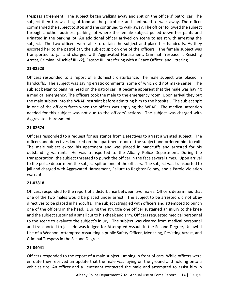trespass agreement. The subject began walking away and spit on the officers' patrol car. The subject then threw a bag of food at the patrol car and continued to walk away. The officer commanded the subject to stop and she continued to walk away. The officer followed the subject through another business parking lot where the female subject pulled down her pants and urinated in the parking lot. An additional officer arrived on scene to assist with arresting the subject. The two officers were able to detain the subject and place her handcuffs. As they escorted her to the patrol car, the subject spit on one of the officers. The female subject was transported to jail and charged with Aggravated Harassment, Criminal Trespass II, Resisting Arrest, Criminal Mischief III (x2), Escape III, Interfering with a Peace Officer, and Littering.

# **21-02523**

Officers responded to a report of a domestic disturbance. The male subject was placed in handcuffs. The subject was saying erratic comments, some of which did not make sense. The subject began to bang his head on the patrol car. It became apparent that the male was having a medical emergency. The officers took the male to the emergency room. Upon arrival they put the male subject into the WRAP restraint before admitting him to the hospital. The subject spit in one of the officers faces when the officer was applying the WRAP. The medical attention needed for this subject was not due to the officers' actions. The subject was charged with Aggravated Harassment.

# **21-02674**

Officers responded to a request for assistance from Detectives to arrest a wanted subject. The officers and detectives knocked on the apartment door of the subject and ordered him to exit. The male subject exited his apartment and was placed in handcuffs and arrested for his outstanding warrant. He was transported to the Albany Police Department. During the transportation, the subject threated to punch the officer in the face several times. Upon arrival to the police department the subject spit on one of the officers. The subject was transported to jail and charged with Aggravated Harassment, Failure to Register-Felony, and a Parole Violation warrant.

# **21-03818**

Officers responded to the report of a disturbance between two males. Officers determined that one of the two males would be placed under arrest. The subject to be arrested did not obey directives to be placed in handcuffs. The subject struggled with officers and attempted to punch one of the officers in the head. During the struggle one officer sustained an injury to the knee and the subject sustained a small cut to his cheek and arm. Officers requested medical personnel to the scene to evaluate the subject's injury. The subject was cleared from medical personnel and transported to jail. He was lodged for Attempted Assault in the Second Degree, Unlawful Use of a Weapon, Attempted Assaulting a public Safety Officer, Menacing, Resisting Arrest, and Criminal Trespass in the Second Degree.

# **21-04041**

Officers responded to the report of a male subject jumping in front of cars. While officers were enroute they received an update that the male was laying on the ground and holding onto a vehicles tire. An officer and a lieutenant contacted the male and attempted to assist him in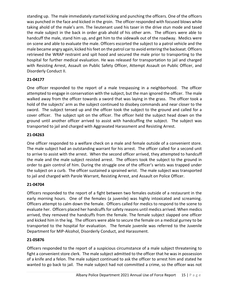standing up. The male immediately started kicking and punching the officers. One of the officers was punched in the face and kicked in the groin. The officer responded with focused blows while taking ahold of the male's arm. The lieutenant used his taser in the drive stun mode and tased the male subject in the back in order grab ahold of his other arm. The officers were able to handcuff the male, stand him up, and get him to the sidewalk out of the roadway. Medics were on scene and able to evaluate the male. Officers escorted the subject to a patrol vehicle and the male became angry again, kicked his feet on the patrol car to avoid entering the backseat. Officers retrieved the WRAP restraint and spit hood and secured the male prior to transporting to the hospital for further medical evaluation. He was released for transportation to jail and charged with Resisting Arrest, Assault on Public Safety Officer, Attempt Assault on Public Officer, and Disorderly Conduct II.

# **21-04177**

One officer responded to the report of a male trespassing in a neighborhood. The officer attempted to engage in conservation with the subject, but the man ignored the officer. The male walked away from the officer towards a sword that was laying in the grass. The officer took a hold of the subjects' arm as the subject continued to disobey commands and near closer to the sword. The subject tensed up and the officer took the subject to the ground and called for a cover officer. The subject spit on the officer. The officer held the subject head down on the ground until another officer arrived to assist with handcuffing the subject. The subject was transported to jail and charged with Aggravated Harassment and Resisting Arrest.

# **21-04263**

One officer responded to a welfare check on a male and female outside of a convenient store. The male subject had an outstanding warrant for his arrest. The officer called for a second unit to arrive to assist with the arrest. When the second officer arrived, they attempted to handcuff the male and the male subject resisted arrest. The officers took the subject to the ground in order to gain control of him. During the struggle one of the officer's wrists was trapped under the subject on a curb. The officer sustained a sprained wrist. The male subject was transported to jail and charged with Parole Warrant, Resisting Arrest, and Assault on Police Officer.

# **21-04704**

Officers responded to the report of a fight between two females outside of a restaurant in the early morning hours. One of the females (a juvenile) was highly intoxicated and screaming. Officers attempt to calm down the female. Officers called for medics to respond to the scene to evaluate her. Officers placed her handcuffs for safety reasons until medics arrived. When medics arrived, they removed the handcuffs from the female. The female subject slapped one officer and kicked him in the leg. The officers were able to secure the female on a medical gurney to be transported to the hospital for evaluation. The female juvenile was referred to the Juvenile Department for MIP-Alcohol, Disorderly Conduct, and Harassment.

# **21-05876**

Officers responded to the report of a suspicious circumstance of a male subject threatening to fight a convenient store clerk. The male subject admitted to the officer that he was in possession of a knife and a felon. The male subject continued to ask the officer to arrest him and stated he wanted to go back to jail. The male subject had not committed a crime, so the officer was not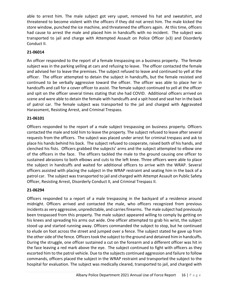able to arrest him. The male subject got very upset, removed his hat and sweatshirt, and threatened to become violent with the officers if they did not arrest him. The male kicked the store window, punched the ice machine, and threatened the officers again. At this time, officers had cause to arrest the male and placed him in handcuffs with no incident. The subject was transported to jail and charge with Attempted Assault on Police Officer (x3) and Disorderly Conduct II.

# **21-06014**

An officer responded to the report of a female trespassing on a business property. The female subject was in the parking yelling at cars and refusing to leave. The officer contacted the female and advised her to leave the premises. The subject refused to leave and continued to yell at the officer. The officer attempted to detain the subject in handcuffs, but the female resisted and continued to be verbally aggressive toward the officer. The officer was able to place her in handcuffs and call for a cover officer to assist. The female subject continued to yell at the officer and spit on the officer several times stating that she had COVID. Additional officers arrived on scene and were able to detain the female with handcuffs and a spit hood and seat her in the back of patrol car. The female subject was transported to the jail and charged with Aggravated Harassment, Resisting Arrest, and Criminal Trespass.

# **21-06101**

Officers responded to the report of a male subject trespassing on business property. Officers contacted the male and told him to leave the property. The subject refused to leave after several requests from the officers. The subject was placed under arrest for criminal trespass and ask to place his hands behind his back. The subject refused to cooperate, raised both of his hands, and clenched his fists. Officers grabbed the subjects' arms and the subject attempted to elbow one of the officers in the face. The officers tackled the male to the ground causing one officer to sustained abrasions to both elbows and cuts to the left knee. Three officers were able to place the subject in handcuffs and waited for additional officers to arrive with the WRAP. Several officers assisted with placing the subject in the WRAP restraint and seating him in the back of a patrol car. The subject was transported to jail and charged with Attempt Assault on Public Safety Officer, Resisting Arrest, Disorderly Conduct II, and Criminal Trespass II.

#### **21-06294**

Officers responded to a report of a male trespassing in the backyard of a residence around midnight. Officers arrived and contacted the male, who officers recognized from previous incidents as very aggressive, unpredictable, and carries firearms. The male subject had previously been trespassed from this property. The male subject appeared willing to comply by getting on his knees and spreading his arms out wide. One officer attempted to grab his wrist, the subject stood up and started running away. Officers commanded the subject to stop, but he continued to elude on foot across the street and jumped over a fence. The subject stated he gave up from the other side of the fence. Officers took the subject to the ground and detained him in handcuffs. During the struggle, one officer sustained a cut on the forearm and a different officer was hit in the face leaving a red mark above the eye. The subject continued to fight with officers as they escorted him to the patrol vehicle. Due to the subjects continued aggression and failure to follow commands, officers placed the subject in the WRAP restraint and transported the subject to the hospital for evaluation. The subject was medically cleared, transported to jail, and charged with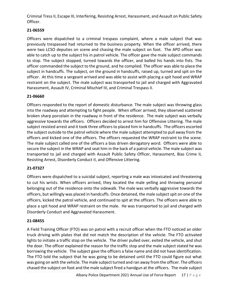Criminal Tress II, Escape III, Interfering, Resisting Arrest, Harassment, and Assault on Public Safety Officer.

# **21-06559**

Officers were dispatched to a criminal trespass complaint, where a male subject that was previously trespassed had returned to the business property. When the officer arrived, there were two LCSO deputies on scene and chasing the male subject on foot. The APD officer was able to catch up to the subject his in patrol vehicle. The officer gave the male subject commands to stop. The subject stopped, turned towards the officer, and balled his hands into fists. The officer commanded the subject to the ground, and he complied. The officer was able to place the subject in handcuffs. The subject, on the ground in handcuffs, raised up, turned and spit on the officer. At this time a sergeant arrived and was able to assist with placing a spit hood and WRAP restraint on the subject. The male subject was transported to jail and charged with Aggravated Harassment, Assault IV, Criminal Mischief III, and Criminal Trespass II.

# **21-06660**

Officers responded to the report of domestic disturbance. The male subject was throwing glass into the roadway and attempting to fight people. When officer arrived, they observed scattered broken sharp porcelain in the roadway in front of the residence. The male subject was verbally aggressive towards the officers. Officers decided to arrest him for Offensive Littering. The male subject resisted arrest and it took three officers to placed him in handcuffs. The officers escorted the subject outside to the patrol vehicle where the male subject attempted to pull away from the officers and kicked one of the officers. The officers requested the WRAP restraint to the scene. The male subject called one of the officers a bias driven derogatory word. Officers were able to secure the subject in the WRAP and seat him in the back of a patrol vehicle. The male subject was transported to jail and charged with Assault Public Safety Officer, Harassment, Bias Crime II, Resisting Arrest, Disorderly Conduct II, and Offensive Littering.

# **21-07327**

Officers were dispatched to a suicidal subject, reporting a male was intoxicated and threatening to cut his wrists. When officers arrived, they located the male yelling and throwing personal belonging out of the residence onto the sidewalk. The male was verbally aggressive towards the officers, but willingly was placed in handcuffs. Once detained, the male subject spit on one of the officers, kicked the patrol vehicle, and continued to spit at the officers. The officers were able to place a spit hood and WRAP restraint on the male. He was transported to jail and charged with Disorderly Conduct and Aggravated Harassment.

# **21-08455**

A Field Training Officer (FTO) was on patrol with a recruit officer when the FTO noticed an older truck driving with plates that did not match the description of the vehicle. The FTO activated lights to initiate a traffic stop on the vehicle. The driver pulled over, exited the vehicle, and shut the door. The officer explained the reason for the traffic stop and the male subject stated he was borrowing the vehicle. The subject gave the officers a false name and did not have identification. The FTO told the subject that he was going to be detained until the FTO could figure out what was going on with the vehicle. The male subject turned and ran away from the officer. The officers chased the subject on foot and the male subject fired a handgun at the officers. The male subject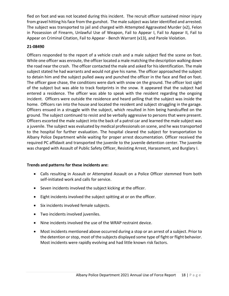fled on foot and was not located during this incident. The recruit officer sustained minor injury from gravel hitting his face from the gunshot. The male subject was later identified and arrested. The subject was transported to jail and charged with Attempted Aggravated Murder (x2), Felon in Possession of Firearm, Unlawful Use of Weapon, Fail to Appear I, Fail to Appear II, Fail to Appear on Criminal Citation, Fail to Appear - Bench Warrant (x13), and Parole Violation.

#### **21-08490**

Officers responded to the report of a vehicle crash and a male subject fled the scene on foot. While one officer was enroute, the officer located a male matching the description walking down the road near the crash. The officer contacted the male and asked for his identification. The male subject stated he had warrants and would not give his name. The officer approached the subject to detain him and the subject pulled away and punched the officer in the face and fled on foot. The officer gave chase, the conditions were dark with snow on the ground. The officer lost sight of the subject but was able to track footprints in the snow. It appeared that the subject had entered a residence. The officer was able to speak with the resident regarding the ongoing incident. Officers were outside the residence and heard yelling that the subject was inside the home. Officers ran into the house and located the resident and subject struggling in the garage. Officers ensued in a struggle with the subject, which resulted in him being handcuffed on the ground. The subject continued to resist and be verbally aggressive to persons that were present. Officers escorted the male subject into the back of a patrol car and learned the male subject was a juvenile. The subject was evaluated by medical professionals on scene, and he was transported to the hospital for further evaluation. The hospital cleared the subject for transportation to Albany Police Department while waiting for proper arrest documentation. Officer received the required PC affidavit and transported the juvenile to the juvenile detention center. The juvenile was charged with Assault of Public Safety Officer, Resisting Arrest, Harassment, and Burglary I.

#### **Trends and patterns for these incidents are:**

- Calls resulting in Assault or Attempted Assault on a Police Officer stemmed from both self-initiated work and calls for service.
- Seven incidents involved the subject kicking at the officer.
- Eight incidents involved the subject spitting at or on the officer.
- Six incidents involved female subjects.
- Two incidents involved juveniles.
- Nine incidents involved the use of the WRAP restraint device.
- Most incidents mentioned above occurred during a stop or an arrest of a subject. Prior to the detention or stop, most of the subjects displayed some type of fight or flight behavior. Most incidents were rapidly evolving and had little known risk factors.